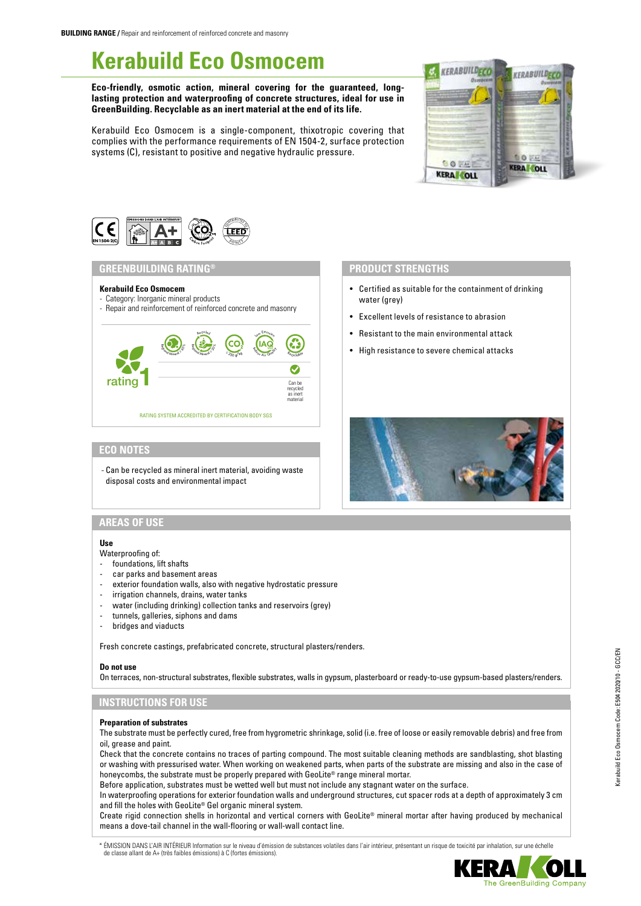# **Kerabuild Eco Osmocem**

**Eco-friendly, osmotic action, mineral covering for the guaranteed, longlasting protection and waterproofing of concrete structures, ideal for use in GreenBuilding. Recyclable as an inert material at the end of its life.**

Kerabuild Eco Osmocem is a single-component, thixotropic covering that complies with the performance requirements of EN 1504-2, surface protection systems (C), resistant to positive and negative hydraulic pressure.





#### **GREENBUILDING RATING®**

#### **Kerabuild Eco Osmocem**

- Category: Inorganic mineral products - Repair and reinforcement of reinforced concrete and masonry
- 



#### **ECO NOTES**

- Can be recycled as mineral inert material, avoiding waste disposal costs and environmental impact

# **PRODUCT STRENGTHS**

- Certified as suitable for the containment of drinking water (grey)
- Excellent levels of resistance to abrasion
- Resistant to the main environmental attack
- High resistance to severe chemical attacks



# **AREAS OF USE**

#### **Use**

- Waterproofing of:
- foundations, lift shafts
- car parks and basement areas
- exterior foundation walls, also with negative hydrostatic pressure
- irrigation channels, drains, water tanks
- water (including drinking) collection tanks and reservoirs (grey)
- tunnels, galleries, siphons and dams
- bridges and viaducts

Fresh concrete castings, prefabricated concrete, structural plasters/renders.

#### **Do not use**

On terraces, non-structural substrates, flexible substrates, walls in gypsum, plasterboard or ready-to-use gypsum-based plasters/renders.

# **INSTRUCTIONS FOR USE**

### **Preparation of substrates**

The substrate must be perfectly cured, free from hygrometric shrinkage, solid (i.e. free of loose or easily removable debris) and free from oil, grease and paint.

Check that the concrete contains no traces of parting compound. The most suitable cleaning methods are sandblasting, shot blasting or washing with pressurised water. When working on weakened parts, when parts of the substrate are missing and also in the case of honeycombs, the substrate must be properly prepared with GeoLite® range mineral mortar.

Before application, substrates must be wetted well but must not include any stagnant water on the surface.

In waterproofing operations for exterior foundation walls and underground structures, cut spacer rods at a depth of approximately 3 cm and fill the holes with GeoLite® Gel organic mineral system.

Create rigid connection shells in horizontal and vertical corners with GeoLite® mineral mortar after having produced by mechanical means a dove-tail channel in the wall-flooring or wall-wall contact line.

\* ÉMISSION DANS L'AIR INTÉRIEUR Information sur le niveau d'émission de substances volatiles dans l'air intérieur, présentant un risque de toxicité par inhalation, sur une échelle de classe allant de A+ (très faibles émissions) à C (fortes émissions).

Kerabuild Eco Osmocem Code: E504 2020/10 - GCC/EN

Kerabuild Eco Osmocem Code: E504 2020/10 - GCC/EN

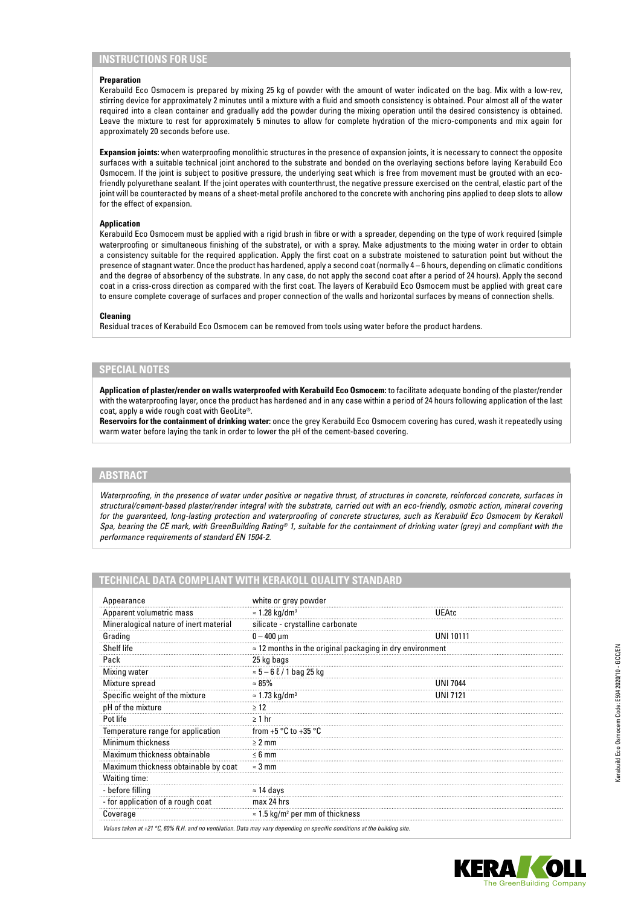# **INSTRUCTIONS FOR USE**

#### **Preparation**

Kerabuild Eco Osmocem is prepared by mixing 25 kg of powder with the amount of water indicated on the bag. Mix with a low-rev, stirring device for approximately 2 minutes until a mixture with a fluid and smooth consistency is obtained. Pour almost all of the water required into a clean container and gradually add the powder during the mixing operation until the desired consistency is obtained. Leave the mixture to rest for approximately 5 minutes to allow for complete hydration of the micro-components and mix again for approximately 20 seconds before use.

**Expansion joints:** when waterproofing monolithic structures in the presence of expansion joints, it is necessary to connect the opposite surfaces with a suitable technical joint anchored to the substrate and bonded on the overlaying sections before laying Kerabuild Eco Osmocem. If the joint is subject to positive pressure, the underlying seat which is free from movement must be grouted with an ecofriendly polyurethane sealant. If the joint operates with counterthrust, the negative pressure exercised on the central, elastic part of the joint will be counteracted by means of a sheet-metal profile anchored to the concrete with anchoring pins applied to deep slots to allow for the effect of expansion.

#### **Application**

Kerabuild Eco Osmocem must be applied with a rigid brush in fibre or with a spreader, depending on the type of work required (simple waterproofing or simultaneous finishing of the substrate), or with a spray. Make adjustments to the mixing water in order to obtain a consistency suitable for the required application. Apply the first coat on a substrate moistened to saturation point but without the presence of stagnant water. Once the product has hardened, apply a second coat (normally 4 – 6 hours, depending on climatic conditions and the degree of absorbency of the substrate. In any case, do not apply the second coat after a period of 24 hours). Apply the second coat in a criss-cross direction as compared with the first coat. The layers of Kerabuild Eco Osmocem must be applied with great care to ensure complete coverage of surfaces and proper connection of the walls and horizontal surfaces by means of connection shells.

#### **Cleaning**

Residual traces of Kerabuild Eco Osmocem can be removed from tools using water before the product hardens.

#### **SPECIAL NOTES**

**Application of plaster/render on walls waterproofed with Kerabuild Eco Osmocem:** to facilitate adequate bonding of the plaster/render with the waterproofing layer, once the product has hardened and in any case within a period of 24 hours following application of the last coat, apply a wide rough coat with GeoLite®.

**Reservoirs for the containment of drinking water:** once the grey Kerabuild Eco Osmocem covering has cured, wash it repeatedly using warm water before laying the tank in order to lower the pH of the cement-based covering.

### **ABSTRACT**

*Waterproofing, in the presence of water under positive or negative thrust, of structures in concrete, reinforced concrete, surfaces in structural/cement-based plaster/render integral with the substrate, carried out with an eco-friendly, osmotic action, mineral covering for the guaranteed, long-lasting protection and waterproofing of concrete structures, such as Kerabuild Eco Osmocem by Kerakoll Spa, bearing the CE mark, with GreenBuilding Rating® 1, suitable for the containment of drinking water (grey) and compliant with the performance requirements of standard EN 1504-2.*

| Appearance                             | white or grey powder                                             |                  |
|----------------------------------------|------------------------------------------------------------------|------------------|
| Apparent volumetric mass               | $\approx$ 1.28 kg/dm <sup>3</sup>                                | UEAtc            |
| Mineralogical nature of inert material | silicate - crystalline carbonate                                 |                  |
| Grading                                | $0 - 400 \mu m$                                                  | <b>UNI 10111</b> |
| Shelf life                             | $\approx$ 12 months in the original packaging in dry environment |                  |
| Pack                                   | 25 kg bags                                                       |                  |
| Mixing water                           | $\approx$ 5 – 6 $\ell$ / 1 bag 25 kg                             |                  |
| Mixture spread                         | $\approx 85\%$                                                   | <b>UNI 7044</b>  |
| Specific weight of the mixture         | $\approx$ 1.73 kg/dm <sup>3</sup>                                | UNI 7121         |
| pH of the mixture                      | >12                                                              |                  |
| Pot life                               | $\geq 1$ hr                                                      |                  |
| Temperature range for application      | from $+5 °C$ to $+35 °C$                                         |                  |
| Minimum thickness                      | $\geq 2$ mm                                                      |                  |
| Maximum thickness obtainable           | $\leq 6$ mm                                                      |                  |
| Maximum thickness obtainable by coat   | $\approx$ 3 mm                                                   |                  |
| Waiting time:                          |                                                                  |                  |
| - before filling                       | $\approx$ 14 days                                                |                  |
| - for application of a rough coat      | max 24 hrs                                                       |                  |
| Coverage                               | $\approx$ 1.5 kg/m <sup>2</sup> per mm of thickness              |                  |

## **TECHNICAL DATA COMPLIANT WITH KERAKOLL QUALITY STANDARD**